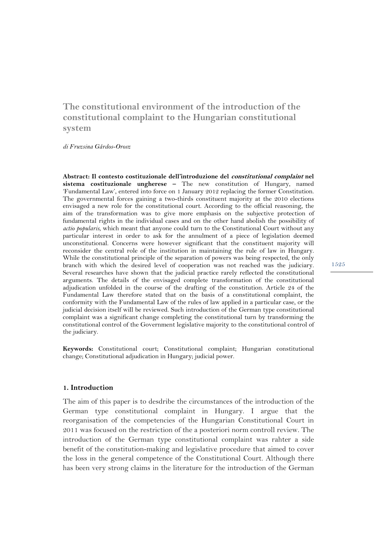# **The constitutional environment of the introduction of the constitutional complaint to the Hungarian constitutional system**

*di Fruzsina Gárdos-Orosz* 

**Abstract: Il contesto costituzionale dell'introduzione del constitutional complaint nel sistema costituzionale ungherese –** The new constitution of Hungary, named 'Fundamental Law', entered into force on 1 January 2012 replacing the former Constitution. The governmental forces gaining a two-thirds constituent majority at the 2010 elections envisaged a new role for the constitutional court. According to the official reasoning, the aim of the transformation was to give more emphasis on the subjective protection of fundamental rights in the individual cases and on the other hand abolish the possibility of *actio popularis*, which meant that anyone could turn to the Constitutional Court without any particular interest in order to ask for the annulment of a piece of legislation deemed unconstitutional. Concerns were however significant that the constituent majority will reconsider the central role of the institution in maintaining the rule of law in Hungary. While the constitutional principle of the separation of powers was being respected, the only branch with which the desired level of cooperation was not reached was the judiciary. Several researches have shown that the judicial practice rarely reflected the constitutional arguments. The details of the envisaged complete transformation of the constitutional adjudication unfolded in the course of the drafting of the constitution. Article 24 of the Fundamental Law therefore stated that on the basis of a constitutional complaint, the conformity with the Fundamental Law of the rules of law applied in a particular case, or the judicial decision itself will be reviewed. Such introduction of the German type constitutional complaint was a significant change completing the constitutional turn by transforming the constitutional control of the Government legislative majority to the constitutional control of the judiciary.

**Keywords:** Constitutional court; Constitutional complaint; Hungarian constitutional change; Constitutional adjudication in Hungary; judicial power.

#### **1. Introduction**

The aim of this paper is to desdribe the circumstances of the introduction of the German type constitutional complaint in Hungary. I argue that the reorganisation of the competencies of the Hungarian Constitutional Court in 2011 was focused on the restriction of the a posteriori norm controll review. The introduction of the German type constitutional complaint was rahter a side benefit of the constitution-making and legislative procedure that aimed to cover the loss in the general competence of the Constitutional Court. Although there has been very strong claims in the literature for the introduction of the German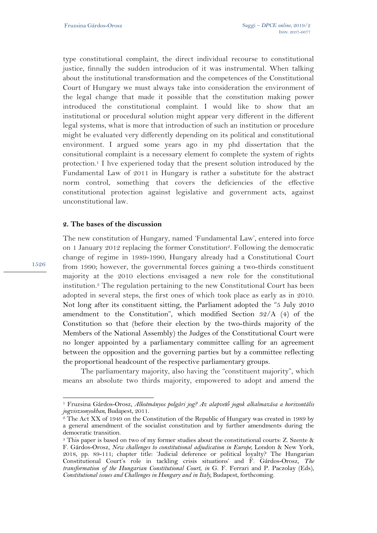type constitutional complaint, the direct individual recourse to constitutional justice, finnally the sudden introducion of it was instrumental. When talking about the institutional transformation and the competences of the Constitutional Court of Hungary we must always take into consideration the environment of the legal change that made it possible that the constitution making power introduced the constitutional complaint. I would like to show that an institutional or procedural solution might appear very different in the different legal systems, what is more that introduction of such an institution or procedure might be evaluated very differently depending on its political and constitutional environment. I argued some years ago in my phd dissertation that the consitutional complaint is a necessary element fo complete the system of rights protection.1 I hve experiened today that the present solution introduced by the Fundamental Law of 2011 in Hungary is rather a substitute for the abstract norm control, something that covers the deficiencies of the effective constitutional protection against legislative and government acts, against unconstitutional law.

### **2. The bases of the discussion**

The new constitution of Hungary, named 'Fundamental Law', entered into force on 1 January 2012 replacing the former Constitution<sup>2</sup>. Following the democratic change of regime in 1989-1990, Hungary already had a Constitutional Court from 1990; however, the governmental forces gaining a two-thirds constituent majority at the 2010 elections envisaged a new role for the constitutional institution.3 The regulation pertaining to the new Constitutional Court has been adopted in several steps, the first ones of which took place as early as in 2010. Not long after its constituent sitting, the Parliament adopted the "5 July 2010 amendment to the Constitution", which modified Section 32/A (4) of the Constitution so that (before their election by the two-thirds majority of the Members of the National Assembly) the Judges of the Constitutional Court were no longer appointed by a parliamentary committee calling for an agreement between the opposition and the governing parties but by a committee reflecting the proportional headcount of the respective parliamentary groups.

The parliamentary majority, also having the "constituent majority", which means an absolute two thirds majority, empowered to adopt and amend the

1526

l

<sup>1</sup> Fruzsina Gárdos-Orosz, *Alkotmányos polgári jog? Az alapvető jogok alkalmazása a horizontális* 

<sup>&</sup>lt;sup>2</sup> The Act XX of 1949 on the Constitution of the Republic of Hungary was created in 1989 by a general amendment of the socialist constitution and by further amendments during the democratic transition.

<sup>3</sup> This paper is based on two of my former studies about the constitutional courts: Z. Szente & F. Gárdos-Orosz, *New challenges to constitutional adjudication in Europe,* London & New York, 2018, pp. 89-111; chapter title: 'Judicial deference or political loyalty? The Hungarian Constitutional Court's role in tackling crisis situations' and F. Gárdos-Orosz, *The transformation of the Hungarian Constitutional Court*, *in* G. F. Ferrari and P. Paczolay (Eds), *Constitutional issues and Challenges in Hungary and in Italy,* Budapest, forthcoming.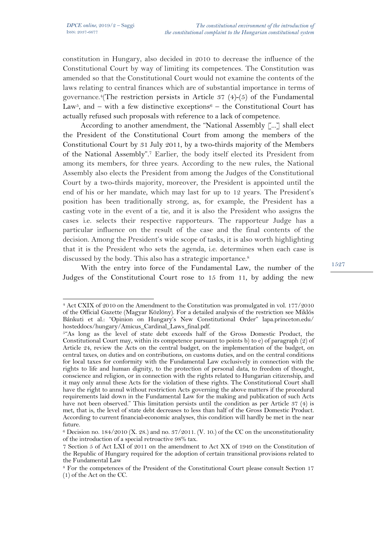$\overline{a}$ 

constitution in Hungary, also decided in 2010 to decrease the influence of the Constitutional Court by way of limiting its competences. The Constitution was amended so that the Constitutional Court would not examine the contents of the laws relating to central finances which are of substantial importance in terms of governance.<sup>4</sup>(The restriction persists in Article 37  $(4)$ - $(5)$  of the Fundamental Law<sup>5</sup>, and – with a few distinctive exceptions<sup>6</sup> – the Constitutional Court has actually refused such proposals with reference to a lack of competence.

According to another amendment, the "National Assembly [...] shall elect the President of the Constitutional Court from among the members of the Constitutional Court by 31 July 2011, by a two-thirds majority of the Members of the National Assembly".7 Earlier, the body itself elected its President from among its members, for three years. According to the new rules, the National Assembly also elects the President from among the Judges of the Constitutional Court by a two-thirds majority, moreover, the President is appointed until the end of his or her mandate, which may last for up to 12 years. The President's position has been traditionally strong, as, for example, the President has a casting vote in the event of a tie, and it is also the President who assigns the cases i.e. selects their respective rapporteurs. The rapporteur Judge has a particular influence on the result of the case and the final contents of the decision. Among the President's wide scope of tasks, it is also worth highlighting that it is the President who sets the agenda, i.e. determines when each case is discussed by the body. This also has a strategic importance.<sup>8</sup>

With the entry into force of the Fundamental Law, the number of the Judges of the Constitutional Court rose to 15 from 11, by adding the new

<sup>4</sup> Act CXIX of 2010 on the Amendment to the Constitution was promulgated in vol. 177/2010 of the Official Gazette (Magyar Közlöny). For a detailed analysis of the restriction see Miklós Bánkuti et al.: "Opinion on Hungary's New Constitutional Order" lapa.princeton.edu/ hosteddocs/hungary/Amicus\_Cardinal\_Laws\_final.pdf.

<sup>&</sup>lt;sup>5"</sup>As long as the level of state debt exceeds half of the Gross Domestic Product, the Constitutional Court may, within its competence pursuant to points b) to e) of paragraph (2) of Article 24, review the Acts on the central budget, on the implementation of the budget, on central taxes, on duties and on contributions, on customs duties, and on the central conditions for local taxes for conformity with the Fundamental Law exclusively in connection with the rights to life and human dignity, to the protection of personal data, to freedom of thought, conscience and religion, or in connection with the rights related to Hungarian citizenship, and it may only annul these Acts for the violation of these rights. The Constitutional Court shall have the right to annul without restriction Acts governing the above matters if the procedural requirements laid down in the Fundamental Law for the making and publication of such Acts have not been observed." This limitation persists until the condition as per Article 37 (4) is met, that is, the level of state debt decreases to less than half of the Gross Domestic Product. According to current financial-economic analyses, this condition will hardly be met in the near future.

 $6$  Decision no. 184/2010 (X. 28.) and no. 37/2011. (V. 10.) of the CC on the unconstitutionality of the introduction of a special retroactive 98% tax.

<sup>7</sup> Section 5 of Act LXI of 2011 on the amendment to Act XX of 1949 on the Constitution of the Republic of Hungary required for the adoption of certain transitional provisions related to the Fundamental Law

<sup>8</sup> For the competences of the President of the Constitutional Court please consult Section 17 (1) of the Act on the CC.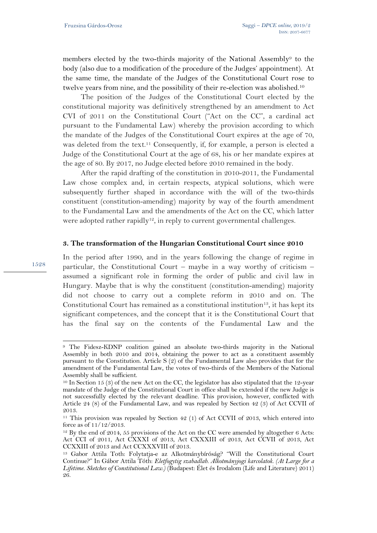members elected by the two-thirds majority of the National Assembly<sup>9</sup> to the body (also due to a modification of the procedure of the Judges' appointment). At the same time, the mandate of the Judges of the Constitutional Court rose to twelve years from nine, and the possibility of their re-election was abolished.10

The position of the Judges of the Constitutional Court elected by the constitutional majority was definitively strengthened by an amendment to Act CVI of 2011 on the Constitutional Court ("Act on the CC", a cardinal act pursuant to the Fundamental Law) whereby the provision according to which the mandate of the Judges of the Constitutional Court expires at the age of 70, was deleted from the text.11 Consequently, if, for example, a person is elected a Judge of the Constitutional Court at the age of 68, his or her mandate expires at the age of 80. By 2017, no Judge elected before 2010 remained in the body.

After the rapid drafting of the constitution in 2010-2011, the Fundamental Law chose complex and, in certain respects, atypical solutions, which were subsequently further shaped in accordance with the will of the two-thirds constituent (constitution-amending) majority by way of the fourth amendment to the Fundamental Law and the amendments of the Act on the CC, which latter were adopted rather rapidly<sup>12</sup>, in reply to current governmental challenges.

#### **3. The transformation of the Hungarian Constitutional Court since 2010**

In the period after 1990, and in the years following the change of regime in particular, the Constitutional Court – maybe in a way worthy of criticism – assumed a significant role in forming the order of public and civil law in Hungary. Maybe that is why the constituent (constitution-amending) majority did not choose to carry out a complete reform in 2010 and on. The Constitutional Court has remained as a constitutional institution<sup>13</sup>, it has kept its significant competences, and the concept that it is the Constitutional Court that has the final say on the contents of the Fundamental Law and the

1528

l

<sup>9</sup> The Fidesz-KDNP coalition gained an absolute two-thirds majority in the National Assembly in both 2010 and 2014, obtaining the power to act as a constituent assembly pursuant to the Constitution. Article S (2) of the Fundamental Law also provides that for the amendment of the Fundamental Law, the votes of two-thirds of the Members of the National Assembly shall be sufficient.

<sup>&</sup>lt;sup>10</sup> In Section 15 (3) of the new Act on the CC, the legislator has also stipulated that the 12-year mandate of the Judge of the Constitutional Court in office shall be extended if the new Judge is not successfully elected by the relevant deadline. This provision, however, conflicted with Article 24 (8) of the Fundamental Law, and was repealed by Section 42 (3) of Act CCVII of 2013.

<sup>11</sup> This provision was repealed by Section 42 (1) of Act CCVII of 2013, which entered into force as of 11/12/2013.

 $12$  By the end of 2014, 55 provisions of the Act on the CC were amended by altogether 6 Acts: Act CCI of 2011, Act CXXXI of 2013, Act CXXXIII of 2013, Act CCVII of 2013, Act CCXXIII of 2013 and Act CCXXXVIII of 2013.

<sup>13</sup> Gabor Attila Toth: Folytatja-e az Alkotmánybíróság? "Will the Constitutional Court Continue?" In Gábor Attila Tóth: *Eletfogytig szabadlab. Alkotmányjogi karcolatok*. *(At Large for a Lifetime. Sketches of Constitutional Law.)* (Budapest: Élet és Irodalom (Life and Literature) 2011) 26.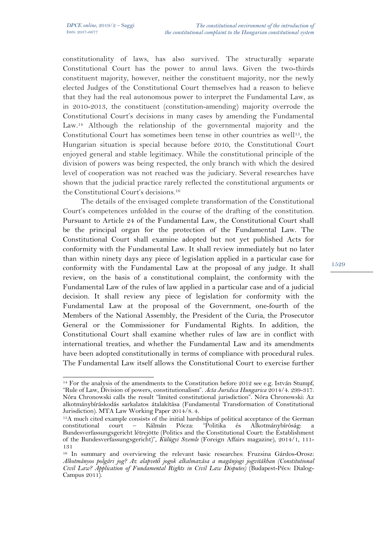l

constitutionality of laws, has also survived. The structurally separate Constitutional Court has the power to annul laws. Given the two-thirds constituent majority, however, neither the constituent majority, nor the newly elected Judges of the Constitutional Court themselves had a reason to believe that they had the real autonomous power to interpret the Fundamental Law, as in 2010-2013, the constituent (constitution-amending) majority overrode the Constitutional Court's decisions in many cases by amending the Fundamental Law.14 Although the relationship of the governmental majority and the Constitutional Court has sometimes been tense in other countries as well15, the Hungarian situation is special because before 2010, the Constitutional Court enjoyed general and stable legitimacy. While the constitutional principle of the division of powers was being respected, the only branch with which the desired level of cooperation was not reached was the judiciary. Several researches have shown that the judicial practice rarely reflected the constitutional arguments or the Constitutional Court's decisions.16

The details of the envisaged complete transformation of the Constitutional Court's competences unfolded in the course of the drafting of the constitution. Pursuant to Article 24 of the Fundamental Law, the Constitutional Court shall be the principal organ for the protection of the Fundamental Law. The Constitutional Court shall examine adopted but not yet published Acts for conformity with the Fundamental Law. It shall review immediately but no later than within ninety days any piece of legislation applied in a particular case for conformity with the Fundamental Law at the proposal of any judge. It shall review, on the basis of a constitutional complaint, the conformity with the Fundamental Law of the rules of law applied in a particular case and of a judicial decision. It shall review any piece of legislation for conformity with the Fundamental Law at the proposal of the Government, one-fourth of the Members of the National Assembly, the President of the Curia, the Prosecutor General or the Commissioner for Fundamental Rights. In addition, the Constitutional Court shall examine whether rules of law are in conflict with international treaties, and whether the Fundamental Law and its amendments have been adopted constitutionally in terms of compliance with procedural rules. The Fundamental Law itself allows the Constitutional Court to exercise further

<sup>&</sup>lt;sup>14</sup> For the analysis of the amendments to the Constitution before  $2012$  see e.g. István Stumpf, "Rule of Law, Division of powers, constitutionalism". *Acta Juridica Hungarica* 2014/4. 299-317. Nóra Chronowski calls the result "limited constitutional jurisdiction". Nóra Chronowski: Az alkotmánybíráskodás sarkalatos átalakítása (Fundamental Transformation of Constitutional Jurisdiction). MTA Law Working Paper 2014/8. 4.

<sup>15</sup>A much cited example consists of the initial hardships of political acceptance of the German constitutional court – Kálmán Pócza: "Politika és Alkotmánybíróság: a Bundesverfassungsgericht létrejötte (Politics and the Constitutional Court: the Establishment of the Bundesverfassungsgericht)", *Külügyi Szemle* (Foreign Affairs magazine), 2014/1, 111- 131

<sup>16</sup> In summary and overviewing the relevant basic researches: Fruzsina Gárdos-Orosz: *Alkotmányos polgári jog? Az alapvető jogok alkalmazása a magánjogi jogvitákban (Constitutional Civil Law? Application of Fundamental Rights in Civil Law Disputes)* (Budapest-Pécs: Dialog-Campus 2011).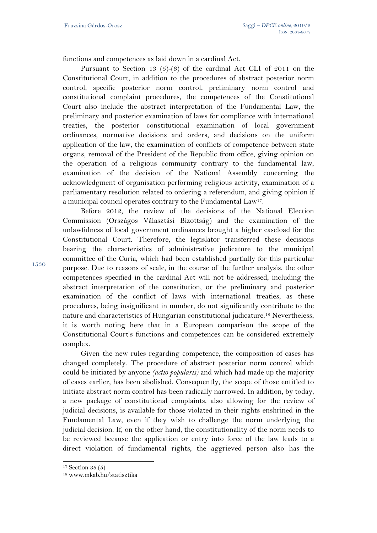functions and competences as laid down in a cardinal Act.

Pursuant to Section 13 (5)-(6) of the cardinal Act CLI of 2011 on the Constitutional Court, in addition to the procedures of abstract posterior norm control, specific posterior norm control, preliminary norm control and constitutional complaint procedures, the competences of the Constitutional Court also include the abstract interpretation of the Fundamental Law, the preliminary and posterior examination of laws for compliance with international treaties, the posterior constitutional examination of local government ordinances, normative decisions and orders, and decisions on the uniform application of the law, the examination of conflicts of competence between state organs, removal of the President of the Republic from office, giving opinion on the operation of a religious community contrary to the fundamental law, examination of the decision of the National Assembly concerning the acknowledgment of organisation performing religious activity, examination of a parliamentary resolution related to ordering a referendum, and giving opinion if a municipal council operates contrary to the Fundamental Law17.

Before 2012, the review of the decisions of the National Election Commission (Országos Választási Bizottság) and the examination of the unlawfulness of local government ordinances brought a higher caseload for the Constitutional Court. Therefore, the legislator transferred these decisions bearing the characteristics of administrative judicature to the municipal committee of the Curia, which had been established partially for this particular purpose. Due to reasons of scale, in the course of the further analysis, the other competences specified in the cardinal Act will not be addressed, including the abstract interpretation of the constitution, or the preliminary and posterior examination of the conflict of laws with international treaties, as these procedures, being insignificant in number, do not significantly contribute to the nature and characteristics of Hungarian constitutional judicature.18 Nevertheless, it is worth noting here that in a European comparison the scope of the Constitutional Court's functions and competences can be considered extremely complex.

Given the new rules regarding competence, the composition of cases has changed completely. The procedure of abstract posterior norm control which could be initiated by anyone *(actio popularis)* and which had made up the majority of cases earlier, has been abolished. Consequently, the scope of those entitled to initiate abstract norm control has been radically narrowed. In addition, by today, a new package of constitutional complaints, also allowing for the review of judicial decisions, is available for those violated in their rights enshrined in the Fundamental Law, even if they wish to challenge the norm underlying the judicial decision. If, on the other hand, the constitutionality of the norm needs to be reviewed because the application or entry into force of the law leads to a direct violation of fundamental rights, the aggrieved person also has the

 $\overline{a}$ 

<sup>17</sup> Section 35 (5)

<sup>18</sup> www.mkab.hu/statisztika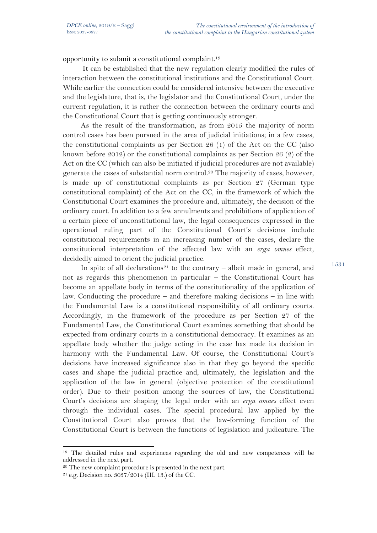opportunity to submit a constitutional complaint.19

It can be established that the new regulation clearly modified the rules of interaction between the constitutional institutions and the Constitutional Court. While earlier the connection could be considered intensive between the executive and the legislature, that is, the legislator and the Constitutional Court, under the current regulation, it is rather the connection between the ordinary courts and the Constitutional Court that is getting continuously stronger.

As the result of the transformation, as from 2015 the majority of norm control cases has been pursued in the area of judicial initiations; in a few cases, the constitutional complaints as per Section 26 (1) of the Act on the CC (also known before 2012) or the constitutional complaints as per Section 26 (2) of the Act on the CC (which can also be initiated if judicial procedures are not available) generate the cases of substantial norm control.20 The majority of cases, however, is made up of constitutional complaints as per Section 27 (German type constitutional complaint) of the Act on the CC, in the framework of which the Constitutional Court examines the procedure and, ultimately, the decision of the ordinary court. In addition to a few annulments and prohibitions of application of a certain piece of unconstitutional law, the legal consequences expressed in the operational ruling part of the Constitutional Court's decisions include constitutional requirements in an increasing number of the cases, declare the constitutional interpretation of the affected law with an *erga omnes* effect, decidedly aimed to orient the judicial practice.

In spite of all declarations<sup>21</sup> to the contrary – albeit made in general, and not as regards this phenomenon in particular – the Constitutional Court has become an appellate body in terms of the constitutionality of the application of law. Conducting the procedure – and therefore making decisions – in line with the Fundamental Law is a constitutional responsibility of all ordinary courts. Accordingly, in the framework of the procedure as per Section 27 of the Fundamental Law, the Constitutional Court examines something that should be expected from ordinary courts in a constitutional democracy. It examines as an appellate body whether the judge acting in the case has made its decision in harmony with the Fundamental Law. Of course, the Constitutional Court's decisions have increased significance also in that they go beyond the specific cases and shape the judicial practice and, ultimately, the legislation and the application of the law in general (objective protection of the constitutional order). Due to their position among the sources of law, the Constitutional Court's decisions are shaping the legal order with an *erga omnes* effect even through the individual cases. The special procedural law applied by the Constitutional Court also proves that the law-forming function of the Constitutional Court is between the functions of legislation and judicature. The

 $\overline{a}$ 

<sup>&</sup>lt;sup>19</sup> The detailed rules and experiences regarding the old and new competences will be addressed in the next part.

<sup>&</sup>lt;sup>20</sup> The new complaint procedure is presented in the next part.<br><sup>21</sup> e.g. Decision no. 3037/2014 (III. 13.) of the CC.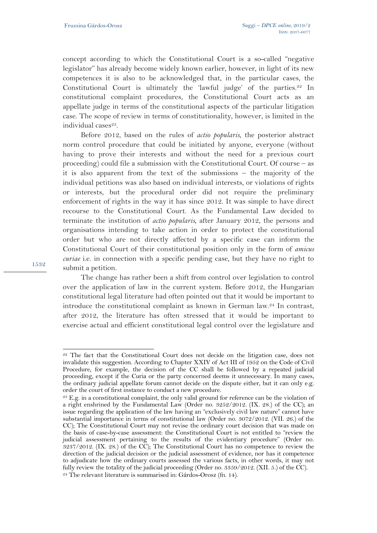concept according to which the Constitutional Court is a so-called "negative legislator" has already become widely known earlier, however, in light of its new competences it is also to be acknowledged that, in the particular cases, the Constitutional Court is ultimately the 'lawful judge' of the parties.<sup>22</sup> In constitutional complaint procedures, the Constitutional Court acts as an appellate judge in terms of the constitutional aspects of the particular litigation case. The scope of review in terms of constitutionality, however, is limited in the individual cases<sup>23</sup>.

Before 2012, based on the rules of *actio popularis*, the posterior abstract norm control procedure that could be initiated by anyone, everyone (without having to prove their interests and without the need for a previous court proceeding) could file a submission with the Constitutional Court. Of course – as it is also apparent from the text of the submissions – the majority of the individual petitions was also based on individual interests, or violations of rights or interests, but the procedural order did not require the preliminary enforcement of rights in the way it has since 2012. It was simple to have direct recourse to the Constitutional Court. As the Fundamental Law decided to terminate the institution of *actio popularis*, after January 2012, the persons and organisations intending to take action in order to protect the constitutional order but who are not directly affected by a specific case can inform the Constitutional Court of their constitutional position only in the form of *amicus curiae* i.e. in connection with a specific pending case, but they have no right to submit a petition.

The change has rather been a shift from control over legislation to control over the application of law in the current system. Before 2012, the Hungarian constitutional legal literature had often pointed out that it would be important to introduce the constitutional complaint as known in German law.24 In contrast, after 2012, the literature has often stressed that it would be important to exercise actual and efficient constitutional legal control over the legislature and

 $\overline{a}$ 22 The fact that the Constitutional Court does not decide on the litigation case, does not invalidate this suggestion. According to Chapter XXIV of Act III of 1952 on the Code of Civil Procedure, for example, the decision of the CC shall be followed by a repeated judicial proceeding, except if the Curia or the party concerned deems it unnecessary. In many cases, the ordinary judicial appellate forum cannot decide on the dispute either, but it can only e.g. order the court of first instance to conduct a new procedure.

<sup>&</sup>lt;sup>23</sup> E.g. in a constitutional complaint, the only valid ground for reference can be the violation of a right enshrined by the Fundamental Law (Order no. 3252/2012. (IX. 28.) of the CC); an issue regarding the application of the law having an "exclusively civil law nature" cannot have substantial importance in terms of constitutional law (Order no. 3072/2012. (VII. 26.) of the CC); The Constitutional Court may not revise the ordinary court decision that was made on the basis of case-by-case assessment: the Constitutional Court is not entitled to "review the judicial assessment pertaining to the results of the evidentiary procedure" (Order no.  $3237/2012$ . (IX. 28.) of the CC; The Constitutional Court has no competence to review the direction of the judicial decision or the judicial assessment of evidence, nor has it competence to adjudicate how the ordinary courts assessed the various facts, in other words, it may not fully review the totality of the judicial proceeding (Order no. 3359/2012. (XII. 5.) of the CC). 24 The relevant literature is summarised in: Gárdos-Orosz (fn. 14).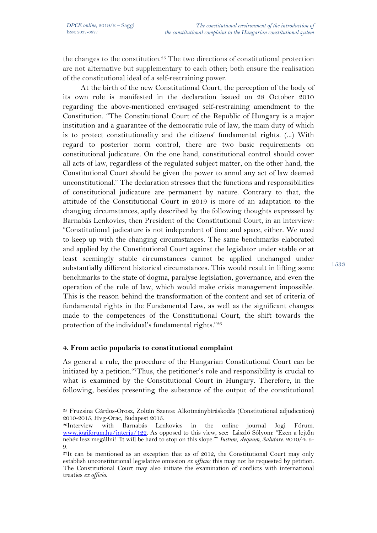the changes to the constitution.25 The two directions of constitutional protection are not alternative but supplementary to each other; both ensure the realisation of the constitutional ideal of a self-restraining power.

At the birth of the new Constitutional Court, the perception of the body of its own role is manifested in the declaration issued on 28 October 2010 regarding the above-mentioned envisaged self-restraining amendment to the Constitution. "The Constitutional Court of the Republic of Hungary is a major institution and a guarantee of the democratic rule of law, the main duty of which is to protect constitutionality and the citizens' fundamental rights. (...) With regard to posterior norm control, there are two basic requirements on constitutional judicature. On the one hand, constitutional control should cover all acts of law, regardless of the regulated subject matter, on the other hand, the Constitutional Court should be given the power to annul any act of law deemed unconstitutional." The declaration stresses that the functions and responsibilities of constitutional judicature are permanent by nature. Contrary to that, the attitude of the Constitutional Court in 2019 is more of an adaptation to the changing circumstances, aptly described by the following thoughts expressed by Barnabás Lenkovics, then President of the Constitutional Court, in an interview: "Constitutional judicature is not independent of time and space, either. We need to keep up with the changing circumstances. The same benchmarks elaborated and applied by the Constitutional Court against the legislator under stable or at least seemingly stable circumstances cannot be applied unchanged under substantially different historical circumstances. This would result in lifting some benchmarks to the state of dogma, paralyse legislation, governance, and even the operation of the rule of law, which would make crisis management impossible. This is the reason behind the transformation of the content and set of criteria of fundamental rights in the Fundamental Law, as well as the significant changes made to the competences of the Constitutional Court, the shift towards the protection of the individual's fundamental rights."26

## **4. From actio popularis to constitutional complaint**

 $\overline{a}$ 

As general a rule, the procedure of the Hungarian Constitutional Court can be initiated by a petition.<sup>27</sup>Thus, the petitioner's role and responsibility is crucial to what is examined by the Constitutional Court in Hungary. Therefore, in the following, besides presenting the substance of the output of the constitutional

<sup>25</sup> Fruzsina Gárdos-Orosz, Zoltán Szente: Alkotmánybíráskodás (Constitutional adjudication) 2010-2015, Hvg-Orac, Budapest 2015.

<sup>26</sup>Interview with Barnabás Lenkovics in the online journal Jogi Fórum. www.jogiforum.hu/interju/122. As opposed to this view, see: László Sólyom: "Ezen a lejtőn nehéz lesz megállni! "It will be hard to stop on this slope."" *Iustum, Aequum, Salutare*. 2010/4. 5- 9.

 $27$ It can be mentioned as an exception that as of 2012, the Constitutional Court may only establish unconstitutional legislative omission *ex officio;* this may not be requested by petition. The Constitutional Court may also initiate the examination of conflicts with international treaties *ex officio*.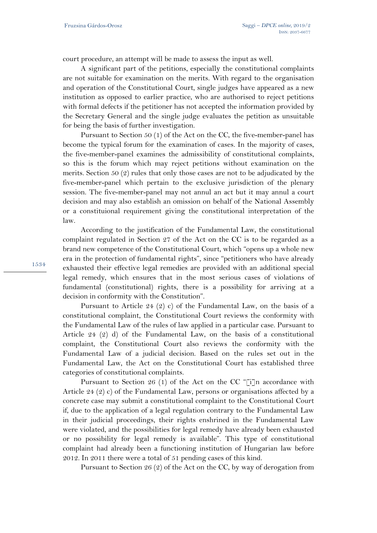court procedure, an attempt will be made to assess the input as well.

A significant part of the petitions, especially the constitutional complaints are not suitable for examination on the merits. With regard to the organisation and operation of the Constitutional Court, single judges have appeared as a new institution as opposed to earlier practice, who are authorised to reject petitions with formal defects if the petitioner has not accepted the information provided by the Secretary General and the single judge evaluates the petition as unsuitable for being the basis of further investigation.

Pursuant to Section 50 (1) of the Act on the CC, the five-member-panel has become the typical forum for the examination of cases. In the majority of cases, the five-member-panel examines the admissibility of constitutional complaints, so this is the forum which may reject petitions without examination on the merits. Section 50 (2) rules that only those cases are not to be adjudicated by the five-member-panel which pertain to the exclusive jurisdiction of the plenary session. The five-member-panel may not annul an act but it may annul a court decision and may also establish an omission on behalf of the National Assembly or a constituional requirement giving the constitutional interpretation of the law.

According to the justification of the Fundamental Law, the constitutional complaint regulated in Section 27 of the Act on the CC is to be regarded as a brand new competence of the Constitutional Court, which "opens up a whole new era in the protection of fundamental rights", since "petitioners who have already exhausted their effective legal remedies are provided with an additional special legal remedy, which ensures that in the most serious cases of violations of fundamental (constitutional) rights, there is a possibility for arriving at a decision in conformity with the Constitution".

Pursuant to Article 24 (2) c) of the Fundamental Law, on the basis of a constitutional complaint, the Constitutional Court reviews the conformity with the Fundamental Law of the rules of law applied in a particular case. Pursuant to Article 24 (2) d) of the Fundamental Law, on the basis of a constitutional complaint, the Constitutional Court also reviews the conformity with the Fundamental Law of a judicial decision. Based on the rules set out in the Fundamental Law, the Act on the Constitutional Court has established three categories of constitutional complaints.

Pursuant to Section 26 (1) of the Act on the CC "[i]n accordance with Article 24 (2) c) of the Fundamental Law, persons or organisations affected by a concrete case may submit a constitutional complaint to the Constitutional Court if, due to the application of a legal regulation contrary to the Fundamental Law in their judicial proceedings, their rights enshrined in the Fundamental Law were violated, and the possibilities for legal remedy have already been exhausted or no possibility for legal remedy is available". This type of constitutional complaint had already been a functioning institution of Hungarian law before 2012. In 2011 there were a total of 51 pending cases of this kind.

Pursuant to Section 26 (2) of the Act on the CC, by way of derogation from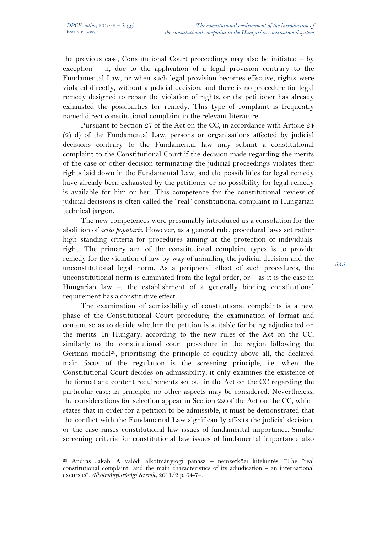$\overline{a}$ 

the previous case, Constitutional Court proceedings may also be initiated – by exception  $-$  if, due to the application of a legal provision contrary to the Fundamental Law, or when such legal provision becomes effective, rights were violated directly, without a judicial decision, and there is no procedure for legal remedy designed to repair the violation of rights, or the petitioner has already exhausted the possibilities for remedy. This type of complaint is frequently named direct constitutional complaint in the relevant literature.

Pursuant to Section 27 of the Act on the CC, in accordance with Article 24 (2) d) of the Fundamental Law, persons or organisations affected by judicial decisions contrary to the Fundamental law may submit a constitutional complaint to the Constitutional Court if the decision made regarding the merits of the case or other decision terminating the judicial proceedings violates their rights laid down in the Fundamental Law, and the possibilities for legal remedy have already been exhausted by the petitioner or no possibility for legal remedy is available for him or her. This competence for the constitutional review of judicial decisions is often called the "real" constitutional complaint in Hungarian technical jargon.

The new competences were presumably introduced as a consolation for the abolition of *actio popularis*. However, as a general rule, procedural laws set rather high standing criteria for procedures aiming at the protection of individuals' right. The primary aim of the constitutional complaint types is to provide remedy for the violation of law by way of annulling the judicial decision and the unconstitutional legal norm. As a peripheral effect of such procedures, the unconstitutional norm is eliminated from the legal order, or  $-$  as it is the case in Hungarian law –, the establishment of a generally binding constitutional requirement has a constitutive effect.

The examination of admissibility of constitutional complaints is a new phase of the Constitutional Court procedure; the examination of format and content so as to decide whether the petition is suitable for being adjudicated on the merits. In Hungary, according to the new rules of the Act on the CC, similarly to the constitutional court procedure in the region following the German model<sup>28</sup>, prioritising the principle of equality above all, the declared main focus of the regulation is the screening principle, i.e. when the Constitutional Court decides on admissibility, it only examines the existence of the format and content requirements set out in the Act on the CC regarding the particular case; in principle, no other aspects may be considered. Nevertheless, the considerations for selection appear in Section 29 of the Act on the CC, which states that in order for a petition to be admissible, it must be demonstrated that the conflict with the Fundamental Law significantly affects the judicial decision, or the case raises constitutional law issues of fundamental importance. Similar screening criteria for constitutional law issues of fundamental importance also

<sup>28</sup> András Jakab: A valódi alkotmányjogi panasz – nemzetközi kitekintés, "The "real constitutional complaint" and the main characteristics of its adjudication – an international excursus". *Alkotmánybírósági Szemle,* 2011/2 p. 64-74.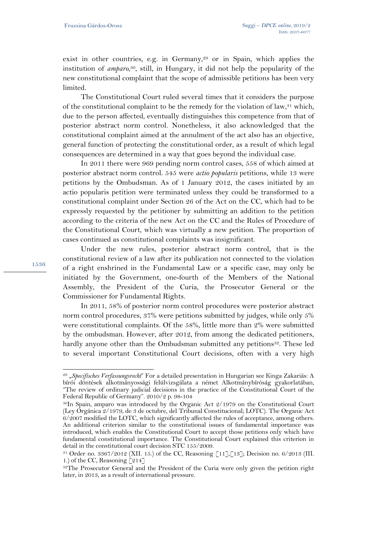exist in other countries, e.g. in Germany,<sup>29</sup> or in Spain, which applies the institution of *amparo*, 30, still, in Hungary, it did not help the popularity of the new constitutional complaint that the scope of admissible petitions has been very limited.

The Constitutional Court ruled several times that it considers the purpose of the constitutional complaint to be the remedy for the violation of law,<sup>31</sup> which, due to the person affected, eventually distinguishes this competence from that of posterior abstract norm control. Nonetheless, it also acknowledged that the constitutional complaint aimed at the annulment of the act also has an objective, general function of protecting the constitutional order, as a result of which legal consequences are determined in a way that goes beyond the individual case.

In 2011 there were 969 pending norm control cases, 558 of which aimed at posterior abstract norm control. 545 were *actio popularis* petitions, while 13 were petitions by the Ombudsman. As of 1 January 2012, the cases initiated by an actio popularis petition were terminated unless they could be transformed to a constitutional complaint under Section 26 of the Act on the CC, which had to be expressly requested by the petitioner by submitting an addition to the petition according to the criteria of the new Act on the CC and the Rules of Procedure of the Constitutional Court, which was virtually a new petition. The proportion of cases continued as constitutional complaints was insignificant.

Under the new rules, posterior abstract norm control, that is the constitutional review of a law after its publication not connected to the violation of a right enshrined in the Fundamental Law or a specific case, may only be initiated by the Government, one-fourth of the Members of the National Assembly, the President of the Curia, the Prosecutor General or the Commissioner for Fundamental Rights.

In 2011, 58% of posterior norm control procedures were posterior abstract norm control procedures, 37% were petitions submitted by judges, while only 5% were constitutional complaints. Of the 58%, little more than 2% were submitted by the ombudsman. However, after 2012, from among the dedicated petitioners, hardly anyone other than the Ombudsman submitted any petitions<sup>32</sup>. These led to several important Constitutional Court decisions, often with a very high

1536

l

<sup>29 &</sup>quot;*Specifisches Verfassungsrecht*" For a detailed presentation in Hungarian see Kinga Zakariás: A bírói döntések alkotmányossági felülvizsgálata a német Alkotmánybíróság gyakorlatában, "The review of ordinary judicial decisions in the practice of the Constitutional Court of the Federal Republic of Germany". 2010/2 p. 98-104

<sup>30</sup>In Spain, amparo was introduced by the Organic Act 2/1979 on the Constitutional Court (Ley Orgánica 2/1979, de 3 de octubre, del Tribunal Constitucional; LOTC). The Organic Act 6/2007 modified the LOTC, which significantly affected the rules of acceptance, among others. An additional criterion similar to the constitutional issues of fundamental importance was introduced, which enables the Constitutional Court to accept those petitions only which have fundamental constitutional importance. The Constitutional Court explained this criterion in detail in the constitutional court decision STC 155/2009.

 $31$  Order no.  $3367/2012$  (XII. 15.) of the CC, Reasoning [11],[13]; Decision no. 6/2013 (III. 1.) of the CC, Reasoning [214]

<sup>&</sup>lt;sup>32</sup>The Prosecutor General and the President of the Curia were only given the petition right later, in 2013, as a result of international pressure.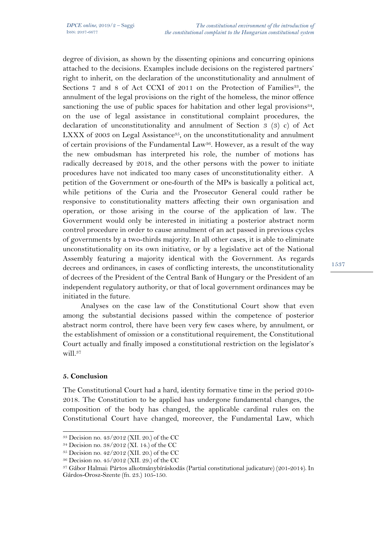degree of division, as shown by the dissenting opinions and concurring opinions attached to the decisions. Examples include decisions on the registered partners' right to inherit, on the declaration of the unconstitutionality and annulment of Sections 7 and 8 of Act CCXI of 2011 on the Protection of Families<sup>33</sup>, the annulment of the legal provisions on the right of the homeless, the minor offence sanctioning the use of public spaces for habitation and other legal provisions $34$ , on the use of legal assistance in constitutional complaint procedures, the declaration of unconstitutionality and annulment of Section 3 (3) c) of Act LXXX of 2003 on Legal Assistance<sup>35</sup>, on the unconstitutionality and annulment of certain provisions of the Fundamental Law<sup>36</sup>. However, as a result of the way the new ombudsman has interpreted his role, the number of motions has radically decreased by 2018, and the other persons with the power to initiate procedures have not indicated too many cases of unconstitutionality either. A petition of the Government or one-fourth of the MPs is basically a political act, while petitions of the Curia and the Prosecutor General could rather be responsive to constitutionality matters affecting their own organisation and operation, or those arising in the course of the application of law. The Government would only be interested in initiating a posterior abstract norm control procedure in order to cause annulment of an act passed in previous cycles of governments by a two-thirds majority. In all other cases, it is able to eliminate unconstitutionality on its own initiative, or by a legislative act of the National Assembly featuring a majority identical with the Government. As regards decrees and ordinances, in cases of conflicting interests, the unconstitutionality of decrees of the President of the Central Bank of Hungary or the President of an independent regulatory authority, or that of local government ordinances may be initiated in the future.

Analyses on the case law of the Constitutional Court show that even among the substantial decisions passed within the competence of posterior abstract norm control, there have been very few cases where, by annulment, or the establishment of omission or a constitutional requirement, the Constitutional Court actually and finally imposed a constitutional restriction on the legislator's will.<sup>37</sup>

## **5. Conclusion**

The Constitutional Court had a hard, identity formative time in the period 2010- 2018. The Constitution to be applied has undergone fundamental changes, the composition of the body has changed, the applicable cardinal rules on the Constitutional Court have changed, moreover, the Fundamental Law, which

 $\overline{a}$ 33 Decision no. 43/2012 (XII. 20.) of the CC

<sup>34</sup> Decision no. 38/2012 (XI. 14.) of the CC

<sup>35</sup> Decision no. 42/2012 (XII. 20.) of the CC

<sup>36</sup> Decision no. 45/2012 (XII. 29.) of the CC

<sup>37</sup> Gábor Halmai: Pártos alkotmánybíráskodás (Partial constitutional judicature) (201-2014). In Gárdos-Orosz-Szente (fn. 23.) 105-150.